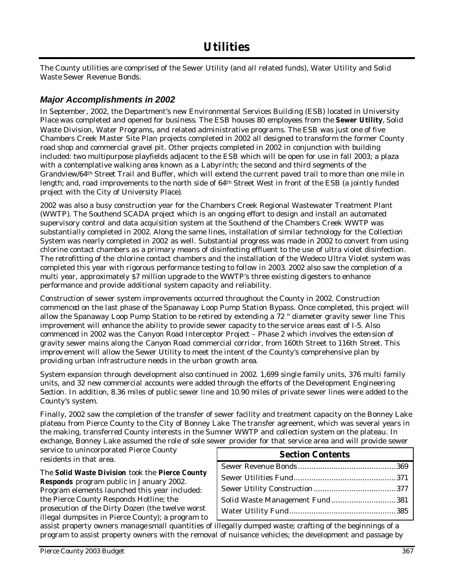The County utilities are comprised of the Sewer Utility (and all related funds), Water Utility and Solid Waste Sewer Revenue Bonds.

## *Major Accomplishments in 2002*

In September, 2002, the Department's new Environmental Services Building (ESB) located in University Place was completed and opened for business. The ESB houses 80 employees from the **Sewer Utility**, Solid Waste Division, Water Programs, and related administrative programs. The ESB was just one of five Chambers Creek Master Site Plan projects completed in 2002 all designed to transform the former County road shop and commercial gravel pit. Other projects completed in 2002 in conjunction with building included: two multipurpose playfields adjacent to the ESB which will be open for use in fall 2003; a plaza with a contemplative walking area known as a Labyrinth; the second and third segments of the Grandview/64th Street Trail and Buffer, which will extend the current paved trail to more than one mile in length; and, road improvements to the north side of 64th Street West in front of the ESB (a jointly funded project with the City of University Place).

2002 was also a busy construction year for the Chambers Creek Regional Wastewater Treatment Plant (WWTP). The Southend SCADA project which is an ongoing effort to design and install an automated supervisory control and data acquisition system at the Southend of the Chambers Creek WWTP was substantially completed in 2002. Along the same lines, installation of similar technology for the Collection System was nearly completed in 2002 as well. Substantial progress was made in 2002 to convert from using chlorine contact chambers as a primary means of disinfecting effluent to the use of ultra violet disinfection. The retrofitting of the chlorine contact chambers and the installation of the Wedeco Ultra Violet system was completed this year with rigorous performance testing to follow in 2003. 2002 also saw the completion of a multi year, approximately \$7 million upgrade to the WWTP's three existing digesters to enhance performance and provide additional system capacity and reliability.

Construction of sewer system improvements occurred throughout the County in 2002. Construction commenced on the last phase of the Spanaway Loop Pump Station Bypass. Once completed, this project will allow the Spanaway Loop Pump Station to be retired by extending a 72 " diameter gravity sewer line. This improvement will enhance the ability to provide sewer capacity to the service areas east of I-5. Also commenced in 2002 was the Canyon Road Interceptor Project – Phase 2 which involves the extension of gravity sewer mains along the Canyon Road commercial corridor, from 160th Street to 116th Street. This improv ement will allow the Sewer Utility to meet the intent of the County's comprehensive plan by providing urban infrastructure needs in the urban growth area.

System expansion through development also continued in 2002. 1,699 single family units, 376 multi family units, and 32 new commercial accounts were added through the efforts of the Development Engineering Section. In addition, 8.36 miles of public sewer line and 10.90 miles of private sewer lines were added to the County's system.

Finally, 2002 saw the completion of the transfer of sewer facility and treatment capacity on the Bonney Lake plateau from Pierce County to the City of Bonney Lake. The transfer agreement, which was several years in the making, transferred County interests in the Sumner WWTP and collection system on the plateau. In exchange, Bonney Lake assumed the role of sole sewer provider for that service area and will provide sewer

service to unincorporated Pierce County residents in that area.

#### The **Solid Waste Division** took the **Pierce County Responds** program public in January 2002.

Program elements launched this year included: the Pierce County Responds Hotline; the prosecution of the Dirty Dozen (the twelve worst illegal dumpsites in Pierce County); a program to

| <b>Section Contents</b>        |  |
|--------------------------------|--|
|                                |  |
|                                |  |
|                                |  |
| Solid Waste Management Fund381 |  |
|                                |  |
|                                |  |

assist property owners manage small quantities of illegally dumped waste; crafting of the beginnings of a program to assist property owners with the removal of nuisance vehicles; the development and passage by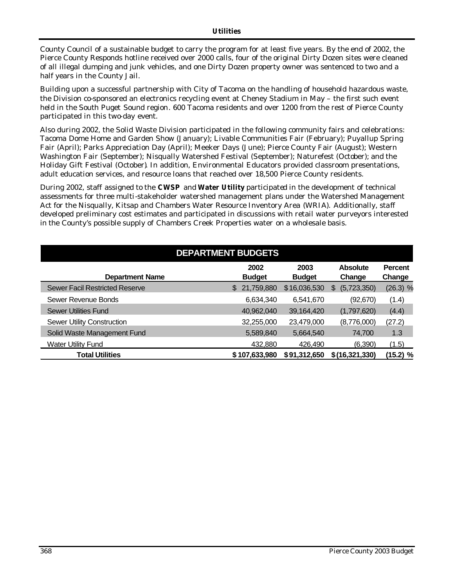County Council of a sustainable budget to carry the program for at least five years. By the end of 2002, the Pierce County Responds hotline received over 2000 calls, four of the original Dirty Dozen sites were cleaned of all illegal dumping and junk vehicles, and one Dirty Dozen property owner was sentenced to two and a half years in the County Jail.

Building upon a successful partnership with City of Tacoma on the handling of household hazardous waste, the Division co-sponsored an electronics recycling event at Cheney Stadium in May – the first such event held in the South Puget Sound region. 600 Tacoma residents and over 1200 from the rest of Pierce County participated in this two-day event.

Also during 2002, the Solid Waste Division participated in the following community fairs and celebrations: Tacoma Dome Home and Garden Show (January); Livable Communities Fair (February); Puyallup Spring Fair (April); Parks Appreciation Day (April); Meeker Days (June); Pierce County Fair (August); Western Washington Fair (September); Nisqually Watershed Festival (September); Naturefest (October); and the Holiday Gift Festival (October). In addition, Environmental Educators provided classroom presentations, adult education services, and resource loans that reached over 18,500 Pierce County residents.

During 2002, staff assigned to the **CWSP** and **Water Utility** participated in the development of technical assessments for three multi-stakeholder watershed management plans under the Watershed Management Act for the Nisqually, Kitsap and Chambers Water Resource Inventory Area (WRIA). Additionally, staff developed preliminary cost estimates and participated in discussions with retail water purveyors interested in the County's possible supply of Chambers Creek Properties water on a wholesale basis.

| <b>DEPARTMENT BUDGETS</b>             |                       |                       |                           |                          |  |  |  |
|---------------------------------------|-----------------------|-----------------------|---------------------------|--------------------------|--|--|--|
| <b>Department Name</b>                | 2002<br><b>Budget</b> | 2003<br><b>Budget</b> | <b>Absolute</b><br>Change | <b>Percent</b><br>Change |  |  |  |
| <b>Sewer Facil Restricted Reserve</b> | 21,759,880<br>S.      | \$16,036,530          | (5,723,350)<br>S          | $(26.3)$ %               |  |  |  |
| Sewer Revenue Bonds                   | 6,634,340             | 6,541,670             | (92, 670)                 | (1.4)                    |  |  |  |
| <b>Sewer Utilities Fund</b>           | 40,962,040            | 39,164,420            | (1,797,620)               | (4.4)                    |  |  |  |
| Sewer Utility Construction            | 32,255,000            | 23,479,000            | (8,776,000)               | (27.2)                   |  |  |  |
| Solid Waste Management Fund           | 5,589,840             | 5,664,540             | 74,700                    | 1.3                      |  |  |  |
| <b>Water Utility Fund</b>             | 432,880               | 426,490               | (6,390)                   | (1.5)                    |  |  |  |
| <b>Total Utilities</b>                | \$107,633,980         | \$91,312,650          | \$(16,321,330)            | $(15.2)$ %               |  |  |  |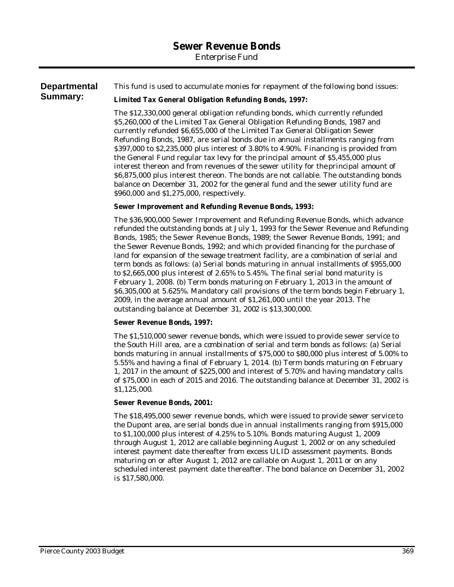*Enterprise Fund*

#### **Departmental Summary:** This fund is used to accumulate monies for repayment of the following bond issues:

### **Limited Tax General Obligation Refunding Bonds, 1997:**

The \$12,330,000 general obligation refunding bonds, which currently refunded \$5,260,000 of the Limited Tax General Obligation Refunding Bonds, 1987 and currently refunded \$6,655,000 of the Limited Tax General Obligation Sewer Refunding Bonds, 1987, are serial bonds due in annual installments ranging from \$397,000 to \$2,235,000 plus interest of 3.80% to 4.90%. Financing is provided from the General Fund regular tax levy for the principal amount of \$5,455,000 plus interest thereon and from revenues of the sewer utility for the principal amount of \$6,875,000 plus interest thereon. The bonds are not callable. The outstanding bonds balance on December 31, 2002 for the general fund and the sewer utility fund are \$960,000 and \$1,275,000, respectively.

#### **Sewer Improvement and Refunding Revenue Bonds, 1993:**

The \$36,900,000 Sewer Improvement and Refunding Revenue Bonds, which advance refunded the outstanding bonds at July 1, 1993 for the Sewer Revenue and Refunding Bonds, 1985; the Sewer Revenue Bonds, 1989; the Sewer Revenue Bonds, 1991; and the Sewer Revenue Bonds, 1992; and which provided financing for the purchase of land for expansion of the sewage treatment facility, are a combination of serial and term bonds as follows: (a) Serial bonds maturing in annual installments of \$955,000 to \$2,665,000 plus interest of 2.65% to 5.45%. The final serial bond maturity is February 1, 2008. (b) Term bonds maturing on February 1, 2013 in the amount of \$6,305,000 at 5.625%. Mandatory call provisions of the term bonds begin February 1, 2009, in the average annual amount of \$1,261,000 until the year 2013. The outstanding balance at December 31, 2002 is \$13,300,000.

#### **Sewer Revenue Bonds, 1997:**

The \$1,510,000 sewer revenue bonds, which were issued to provide sewer service to the South Hill area, are a combination of serial and term bonds as follows: (a) Serial bonds maturing in annual installments of \$75,000 to \$80,000 plus interest of 5.00% to 5.55% and having a final of February 1, 2014. (b) Term bonds maturing on February 1, 2017 in the amount of \$225,000 and interest of 5.70% and having mandatory calls of \$75,000 in each of 2015 and 2016. The outstanding balance at December 31, 2002 is \$1,125,000.

#### **Sewer Revenue Bonds, 2001:**

The \$18,495,000 sewer revenue bonds, which were issued to provide sewer service to the Dupont area, are serial bonds due in annual installments ranging from \$915,000 to \$1,100,000 plus interest of 4.25% to 5.10%. Bonds maturing August 1, 2009 through August 1, 2012 are callable beginning August 1, 2002 or on any scheduled interest payment date thereafter from excess ULID assessment payments. Bonds maturing on or after August 1, 2012 are callable on August 1, 2011 or on any scheduled interest payment date thereafter. The bond balance on December 31, 2002 is \$17,580,000.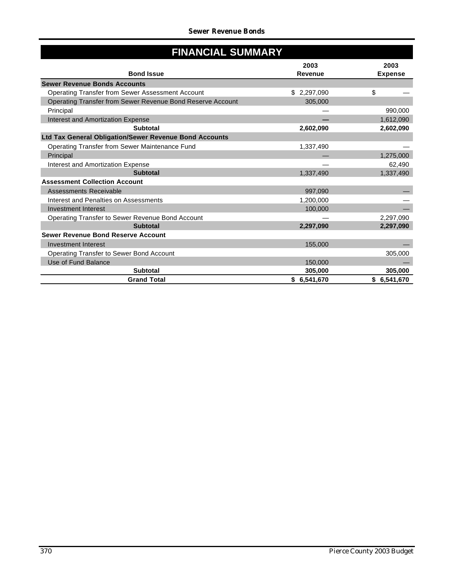| <b>FINANCIAL SUMMARY</b>                                   |                 |                        |  |  |  |  |
|------------------------------------------------------------|-----------------|------------------------|--|--|--|--|
| <b>Bond Issue</b>                                          | 2003<br>Revenue | 2003<br><b>Expense</b> |  |  |  |  |
| <b>Sewer Revenue Bonds Accounts</b>                        |                 |                        |  |  |  |  |
| Operating Transfer from Sewer Assessment Account           | \$2,297,090     | \$                     |  |  |  |  |
| Operating Transfer from Sewer Revenue Bond Reserve Account | 305,000         |                        |  |  |  |  |
| Principal                                                  |                 | 990,000                |  |  |  |  |
| <b>Interest and Amortization Expense</b>                   |                 | 1,612,090              |  |  |  |  |
| <b>Subtotal</b>                                            | 2,602,090       | 2,602,090              |  |  |  |  |
| Ltd Tax General Obligation/Sewer Revenue Bond Accounts     |                 |                        |  |  |  |  |
| Operating Transfer from Sewer Maintenance Fund             | 1,337,490       |                        |  |  |  |  |
| Principal                                                  |                 | 1,275,000              |  |  |  |  |
| Interest and Amortization Expense                          |                 | 62,490                 |  |  |  |  |
| <b>Subtotal</b>                                            | 1,337,490       | 1,337,490              |  |  |  |  |
| <b>Assessment Collection Account</b>                       |                 |                        |  |  |  |  |
| Assessments Receivable                                     | 997.090         |                        |  |  |  |  |
| Interest and Penalties on Assessments                      | 1,200,000       |                        |  |  |  |  |
| <b>Investment Interest</b>                                 | 100,000         |                        |  |  |  |  |
| Operating Transfer to Sewer Revenue Bond Account           |                 | 2,297,090              |  |  |  |  |
| <b>Subtotal</b>                                            | 2,297,090       | 2,297,090              |  |  |  |  |
| <b>Sewer Revenue Bond Reserve Account</b>                  |                 |                        |  |  |  |  |
| <b>Investment Interest</b>                                 | 155.000         |                        |  |  |  |  |
| <b>Operating Transfer to Sewer Bond Account</b>            |                 | 305,000                |  |  |  |  |
| Use of Fund Balance                                        | 150,000         |                        |  |  |  |  |
| <b>Subtotal</b>                                            | 305,000         | 305,000                |  |  |  |  |
| <b>Grand Total</b>                                         | \$6,541,670     | \$6,541,670            |  |  |  |  |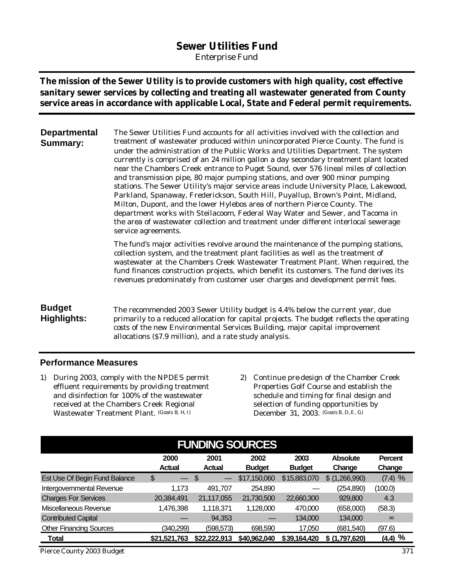# **Sewer Utilities Fund**

*Enterprise Fund*

**The mission of the Sewer Utility is to provide customers with high quality, cost effective sanitary sewer services by collecting and treating all wastewater generated from County service areas in accordance with applicable Local, State and Federal permit requirements.**

**Departmental Summary:** The Sewer Utilities Fund accounts for all activities involved with the collection and treatment of wastewater produced within unincorporated Pierce County. The fund is under the administration of the Public Works and Utilities Department. The system currently is comprised of an 24 million gallon a day secondary treatment plant located near the Chambers Creek entrance to Puget Sound, over 576 lineal miles of collection and transmission pipe, 80 major pumping stations, and over 900 minor pumping stations. The Sewer Utility's major service areas include University Place, Lakewood, Parkland, Spanaway, Frederickson, South Hill, Puyallup, Brown's Point, Midland, Milton, Dupont, and the lower Hylebos area of northern Pierce County. The department works with Steilacoom, Federal Way Water and Sewer, and Tacoma in the area of wastewater collection and treatment under different interlocal sewerage service agreements.

> The fund's major activities revolve around the maintenance of the pumping stations, collection system, and the treatment plant facilities as well as the treatment of wastewater at the Chambers Creek Wastewater Treatment Plant. When required, the fund finances construction projects, which benefit its customers. The fund derives its revenues predominately from customer user charges and development permit fees.

# **Budget Highlights:**

The recommended 2003 Sewer Utility budget is 4.4% below the current year, due primarily to a reduced allocation for capital projects. The budget reflects the operating costs of the new Environmental Services Building, major capital improvement allocations (\$7.9 million), and a rate study analysis.

## **Performance Measures**

- 1) During 2003, comply with the NPDES permit effluent requirements by providing treatment and disinfection for 100% of the wastewater received at the Chambers Creek Regional Wastewater Treatment Plant. (Goals B, H, I)
- 2) Continue pre-design of the Chamber Creek Properties Golf Course and establish the schedule and timing for final design and selection of funding opportunities by December 31, 2003. (Goals B, D,E, G)

| <b>FUNDING SOURCES</b>                                                                                                                             |              |              |              |              |                   |           |  |  |  |  |
|----------------------------------------------------------------------------------------------------------------------------------------------------|--------------|--------------|--------------|--------------|-------------------|-----------|--|--|--|--|
| 2000<br>2001<br>2002<br>2003<br><b>Absolute</b><br>Percent<br><b>Budget</b><br><b>Budget</b><br>Change<br><b>Actual</b><br><b>Actual</b><br>Change |              |              |              |              |                   |           |  |  |  |  |
| Est Use Of Begin Fund Balance                                                                                                                      | \$           | \$           | \$17,150,060 | \$15,883,070 | (1,266,990)<br>\$ | $(7.4)$ % |  |  |  |  |
| Intergovernmental Revenue                                                                                                                          | 1.173        | 491.707      | 254,890      |              | (254,890)         | (100.0)   |  |  |  |  |
| <b>Charges For Services</b>                                                                                                                        | 20,384,491   | 21,117,055   | 21,730,500   | 22,660,300   | 929,800           | 4.3       |  |  |  |  |
| Miscellaneous Revenue                                                                                                                              | 1,476,398    | 1,118,371    | 1,128,000    | 470,000      | (658,000)         | (58.3)    |  |  |  |  |
| <b>Contributed Capital</b>                                                                                                                         |              | 94,353       |              | 134,000      | 134,000           | $\infty$  |  |  |  |  |
| <b>Other Financing Sources</b>                                                                                                                     | (340,299)    | (598, 573)   | 698,590      | 17,050       | (681, 540)        | (97.6)    |  |  |  |  |
| Total                                                                                                                                              | \$21,521,763 | \$22,222,913 | \$40,962,040 | \$39,164,420 | \$ (1,797,620)    | $(4.4)$ % |  |  |  |  |

*Pierce County 2003 Budget 371*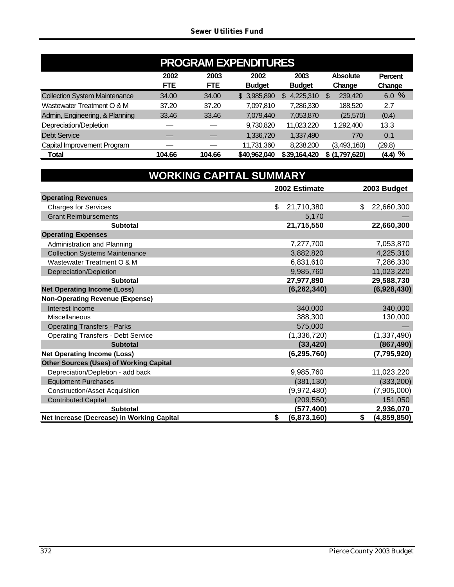| <b>PROGRAM EXPENDITURES</b>          |                                                                                                                                              |        |              |                 |                |           |  |  |  |  |
|--------------------------------------|----------------------------------------------------------------------------------------------------------------------------------------------|--------|--------------|-----------------|----------------|-----------|--|--|--|--|
|                                      | 2002<br>2003<br>2002<br>2003<br><b>Absolute</b><br>Percent<br><b>FTE</b><br><b>FTE</b><br><b>Budget</b><br><b>Budget</b><br>Change<br>Change |        |              |                 |                |           |  |  |  |  |
| <b>Collection System Maintenance</b> | 34.00                                                                                                                                        | 34.00  | \$3,985,890  | 4,225,310<br>\$ | 239,420<br>S   | 6.0%      |  |  |  |  |
| Wastewater Treatment O & M           | 37.20                                                                                                                                        | 37.20  | 7,097,810    | 7,286,330       | 188.520        | 2.7       |  |  |  |  |
| Admin, Engineering, & Planning       | 33.46                                                                                                                                        | 33.46  | 7,079,440    | 7,053,870       | (25, 570)      | (0.4)     |  |  |  |  |
| Depreciation/Depletion               |                                                                                                                                              |        | 9,730,820    | 11,023,220      | 1,292,400      | 13.3      |  |  |  |  |
| Debt Service                         |                                                                                                                                              |        | 1,336,720    | 1,337,490       | 770            | 0.1       |  |  |  |  |
| Capital Improvement Program          |                                                                                                                                              |        | 11,731,360   | 8,238,200       | (3,493,160)    | (29.8)    |  |  |  |  |
| Total                                | 104.66                                                                                                                                       | 104.66 | \$40,962,040 | \$39,164,420    | \$ (1,797,620) | $(4.4)$ % |  |  |  |  |

| <b>WORKING CAPITAL SUMMARY</b>                 |                   |                   |  |  |  |
|------------------------------------------------|-------------------|-------------------|--|--|--|
|                                                | 2002 Estimate     | 2003 Budget       |  |  |  |
| <b>Operating Revenues</b>                      |                   |                   |  |  |  |
| <b>Charges for Services</b>                    | \$<br>21,710,380  | 22,660,300<br>\$  |  |  |  |
| <b>Grant Reimbursements</b>                    | 5,170             |                   |  |  |  |
| <b>Subtotal</b>                                | 21,715,550        | 22,660,300        |  |  |  |
| <b>Operating Expenses</b>                      |                   |                   |  |  |  |
| Administration and Planning                    | 7,277,700         | 7,053,870         |  |  |  |
| <b>Collection Systems Maintenance</b>          | 3,882,820         | 4,225,310         |  |  |  |
| Wastewater Treatment O & M                     | 6,831,610         | 7,286,330         |  |  |  |
| Depreciation/Depletion                         | 9,985,760         | 11,023,220        |  |  |  |
| <b>Subtotal</b>                                | 27,977,890        | 29,588,730        |  |  |  |
| <b>Net Operating Income (Loss)</b>             | (6, 262, 340)     | (6,928,430)       |  |  |  |
| <b>Non-Operating Revenue (Expense)</b>         |                   |                   |  |  |  |
| Interest Income                                | 340,000           | 340,000           |  |  |  |
| Miscellaneous                                  | 388,300           | 130,000           |  |  |  |
| <b>Operating Transfers - Parks</b>             | 575,000           |                   |  |  |  |
| <b>Operating Transfers - Debt Service</b>      | (1,336,720)       | (1,337,490)       |  |  |  |
| <b>Subtotal</b>                                | (33, 420)         | (867, 490)        |  |  |  |
| <b>Net Operating Income (Loss)</b>             | (6, 295, 760)     | (7,795,920)       |  |  |  |
| <b>Other Sources (Uses) of Working Capital</b> |                   |                   |  |  |  |
| Depreciation/Depletion - add back              | 9,985,760         | 11,023,220        |  |  |  |
| <b>Equipment Purchases</b>                     | (381, 130)        | (333, 200)        |  |  |  |
| <b>Construction/Asset Acquisition</b>          | (9,972,480)       | (7,905,000)       |  |  |  |
| <b>Contributed Capital</b>                     | (209, 550)        | 151,050           |  |  |  |
| <b>Subtotal</b>                                | (577, 400)        | 2,936,070         |  |  |  |
| Net Increase (Decrease) in Working Capital     | \$<br>(6,873,160) | \$<br>(4,859,850) |  |  |  |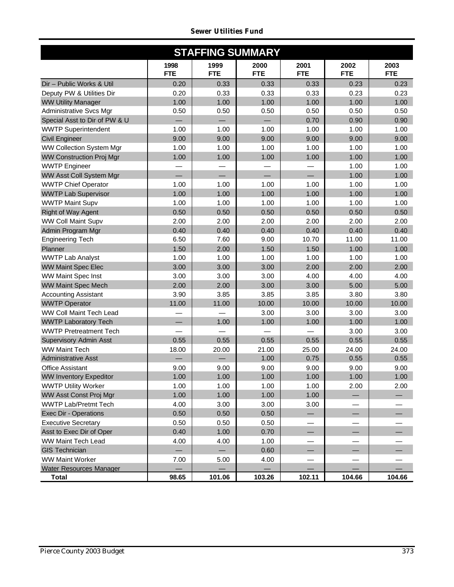|  | Sewer Utilities Fund |  |
|--|----------------------|--|
|--|----------------------|--|

| <b>STAFFING SUMMARY</b>         |                    |                    |                    |                    |                    |                    |  |  |  |
|---------------------------------|--------------------|--------------------|--------------------|--------------------|--------------------|--------------------|--|--|--|
|                                 | 1998<br><b>FTE</b> | 1999<br><b>FTE</b> | 2000<br><b>FTE</b> | 2001<br><b>FTE</b> | 2002<br><b>FTE</b> | 2003<br><b>FTE</b> |  |  |  |
| Dir - Public Works & Util       | 0.20               | 0.33               | 0.33               | 0.33               | 0.23               | 0.23               |  |  |  |
| Deputy PW & Utilities Dir       | 0.20               | 0.33               | 0.33               | 0.33               | 0.23               | 0.23               |  |  |  |
| <b>WW Utility Manager</b>       | 1.00               | 1.00               | 1.00               | 1.00               | 1.00               | 1.00               |  |  |  |
| Administrative Svcs Mgr         | 0.50               | 0.50               | 0.50               | 0.50               | 0.50               | 0.50               |  |  |  |
| Special Asst to Dir of PW & U   |                    |                    |                    | 0.70               | 0.90               | 0.90               |  |  |  |
| <b>WWTP Superintendent</b>      | 1.00               | 1.00               | 1.00               | 1.00               | 1.00               | 1.00               |  |  |  |
| <b>Civil Engineer</b>           | 9.00               | 9.00               | 9.00               | 9.00               | 9.00               | 9.00               |  |  |  |
| <b>WW Collection System Mgr</b> | 1.00               | 1.00               | 1.00               | 1.00               | 1.00               | 1.00               |  |  |  |
| <b>WW Construction Proj Mgr</b> | 1.00               | 1.00               | 1.00               | 1.00               | 1.00               | 1.00               |  |  |  |
| <b>WWTP Engineer</b>            |                    |                    |                    |                    | 1.00               | 1.00               |  |  |  |
| WW Asst Coll System Mgr         |                    |                    |                    |                    | 1.00               | 1.00               |  |  |  |
| <b>WWTP Chief Operator</b>      | 1.00               | 1.00               | 1.00               | 1.00               | 1.00               | 1.00               |  |  |  |
| <b>WWTP Lab Supervisor</b>      | 1.00               | 1.00               | 1.00               | 1.00               | 1.00               | 1.00               |  |  |  |
| <b>WWTP Maint Supv</b>          | 1.00               | 1.00               | 1.00               | 1.00               | 1.00               | 1.00               |  |  |  |
| <b>Right of Way Agent</b>       | 0.50               | 0.50               | 0.50               | 0.50               | 0.50               | 0.50               |  |  |  |
| <b>WW Coll Maint Supv</b>       | 2.00               | 2.00               | 2.00               | 2.00               | 2.00               | 2.00               |  |  |  |
| Admin Program Mgr               | 0.40               | 0.40               | 0.40               | 0.40               | 0.40               | 0.40               |  |  |  |
| <b>Engineering Tech</b>         | 6.50               | 7.60               | 9.00               | 10.70              | 11.00              | 11.00              |  |  |  |
| Planner                         | 1.50               | 2.00               | 1.50               | 1.50               | 1.00               | 1.00               |  |  |  |
| <b>WWTP Lab Analyst</b>         | 1.00               | 1.00               | 1.00               | 1.00               | 1.00               | 1.00               |  |  |  |
| <b>WW Maint Spec Elec</b>       | 3.00               | 3.00               | 3.00               | 2.00               | 2.00               | 2.00               |  |  |  |
| WW Maint Spec Inst              | 3.00               | 3.00               | 3.00               | 4.00               | 4.00               | 4.00               |  |  |  |
| <b>WW Maint Spec Mech</b>       | 2.00               | 2.00               | 3.00               | 3.00               | 5.00               | 5.00               |  |  |  |
| <b>Accounting Assistant</b>     | 3.90               | 3.85               | 3.85               | 3.85               | 3.80               | 3.80               |  |  |  |
| <b>WWTP Operator</b>            | 11.00              | 11.00              | 10.00              | 10.00              | 10.00              | 10.00              |  |  |  |
| WW Coll Maint Tech Lead         |                    |                    | 3.00               | 3.00               | 3.00               | 3.00               |  |  |  |
| <b>WWTP Laboratory Tech</b>     |                    | 1.00               | 1.00               | 1.00               | 1.00               | 1.00               |  |  |  |
| <b>WWTP Pretreatment Tech</b>   |                    |                    |                    |                    | 3.00               | 3.00               |  |  |  |
| <b>Supervisory Admin Asst</b>   | 0.55               | 0.55               | 0.55               | 0.55               | 0.55               | 0.55               |  |  |  |
| <b>WW Maint Tech</b>            | 18.00              | 20.00              | 21.00              | 25.00              | 24.00              | 24.00              |  |  |  |
| <b>Administrative Asst</b>      |                    |                    | 1.00               | 0.75               | 0.55               | 0.55               |  |  |  |
| <b>Office Assistant</b>         | 9.00               | 9.00               | 9.00               | 9.00               | 9.00               | 9.00               |  |  |  |
| <b>WW Inventory Expeditor</b>   | 1.00               | 1.00               | 1.00               | 1.00               | 1.00               | 1.00               |  |  |  |
| <b>WWTP Utility Worker</b>      | 1.00               | 1.00               | 1.00               | 1.00               | 2.00               | 2.00               |  |  |  |
| WW Asst Const Proj Mgr          | 1.00               | 1.00               | 1.00               | 1.00               |                    |                    |  |  |  |
| <b>WWTP Lab/Pretmt Tech</b>     | 4.00               | 3.00               | 3.00               | 3.00               |                    |                    |  |  |  |
| <b>Exec Dir - Operations</b>    | 0.50               | 0.50               | 0.50               |                    |                    |                    |  |  |  |
| <b>Executive Secretary</b>      | 0.50               | 0.50               | 0.50               |                    |                    |                    |  |  |  |
| Asst to Exec Dir of Oper        | 0.40               | 1.00               | 0.70               |                    |                    |                    |  |  |  |
| WW Maint Tech Lead              | 4.00               | 4.00               | 1.00               |                    |                    |                    |  |  |  |
| <b>GIS Technician</b>           |                    |                    | 0.60               |                    |                    |                    |  |  |  |
| <b>WW Maint Worker</b>          | 7.00               | 5.00               | 4.00               |                    |                    |                    |  |  |  |
| Water Resources Manager         |                    |                    |                    |                    |                    |                    |  |  |  |
| <b>Total</b>                    | 98.65              | 101.06             | 103.26             | 102.11             | 104.66             | 104.66             |  |  |  |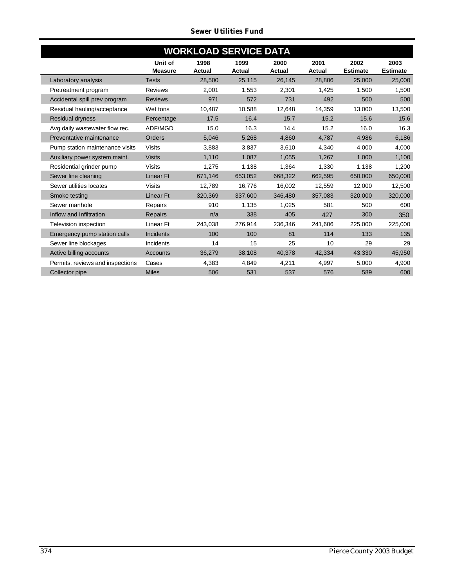# *Sewer Utilities Fund*

| <b>WORKLOAD SERVICE DATA</b>     |                           |                       |                       |                |                       |                         |                         |  |
|----------------------------------|---------------------------|-----------------------|-----------------------|----------------|-----------------------|-------------------------|-------------------------|--|
|                                  | Unit of<br><b>Measure</b> | 1998<br><b>Actual</b> | 1999<br><b>Actual</b> | 2000<br>Actual | 2001<br><b>Actual</b> | 2002<br><b>Estimate</b> | 2003<br><b>Estimate</b> |  |
| Laboratory analysis              | <b>Tests</b>              | 28,500                | 25,115                | 26,145         | 28,806                | 25,000                  | 25,000                  |  |
| Pretreatment program             | <b>Reviews</b>            | 2,001                 | 1,553                 | 2,301          | 1,425                 | 1.500                   | 1,500                   |  |
| Accidental spill prev program    | <b>Reviews</b>            | 971                   | 572                   | 731            | 492                   | 500                     | 500                     |  |
| Residual hauling/acceptance      | Wet tons                  | 10,487                | 10,588                | 12,648         | 14,359                | 13,000                  | 13,500                  |  |
| <b>Residual dryness</b>          | Percentage                | 17.5                  | 16.4                  | 15.7           | 15.2                  | 15.6                    | 15.6                    |  |
| Avg daily wastewater flow rec.   | ADF/MGD                   | 15.0                  | 16.3                  | 14.4           | 15.2                  | 16.0                    | 16.3                    |  |
| Preventative maintenance         | <b>Orders</b>             | 5,046                 | 5,268                 | 4,860          | 4,787                 | 4,986                   | 6,186                   |  |
| Pump station maintenance visits  | <b>Visits</b>             | 3,883                 | 3,837                 | 3,610          | 4,340                 | 4,000                   | 4,000                   |  |
| Auxiliary power system maint.    | <b>Visits</b>             | 1,110                 | 1.087                 | 1,055          | 1.267                 | 1,000                   | 1,100                   |  |
| Residential grinder pump         | <b>Visits</b>             | 1,275                 | 1,138                 | 1,364          | 1,330                 | 1,138                   | 1,200                   |  |
| Sewer line cleaning              | <b>Linear Ft</b>          | 671,146               | 653,052               | 668,322        | 662,595               | 650,000                 | 650,000                 |  |
| Sewer utilities locates          | <b>Visits</b>             | 12,789                | 16,776                | 16,002         | 12,559                | 12,000                  | 12,500                  |  |
| Smoke testing                    | <b>Linear Ft</b>          | 320,369               | 337,600               | 346,480        | 357,083               | 320,000                 | 320,000                 |  |
| Sewer manhole                    | Repairs                   | 910                   | 1,135                 | 1,025          | 581                   | 500                     | 600                     |  |
| Inflow and Infiltration          | Repairs                   | n/a                   | 338                   | 405            | 427                   | 300                     | 350                     |  |
| Television inspection            | Linear Ft                 | 243,038               | 276,914               | 236,346        | 241,606               | 225,000                 | 225,000                 |  |
| Emergency pump station calls     | Incidents                 | 100                   | 100                   | 81             | 114                   | 133                     | 135                     |  |
| Sewer line blockages             | <b>Incidents</b>          | 14                    | 15                    | 25             | 10                    | 29                      | 29                      |  |
| Active billing accounts          | <b>Accounts</b>           | 36,279                | 38,108                | 40,378         | 42,334                | 43,330                  | 45,950                  |  |
| Permits, reviews and inspections | Cases                     | 4,383                 | 4,849                 | 4,211          | 4,997                 | 5,000                   | 4,900                   |  |
| Collector pipe                   | <b>Miles</b>              | 506                   | 531                   | 537            | 576                   | 589                     | 600                     |  |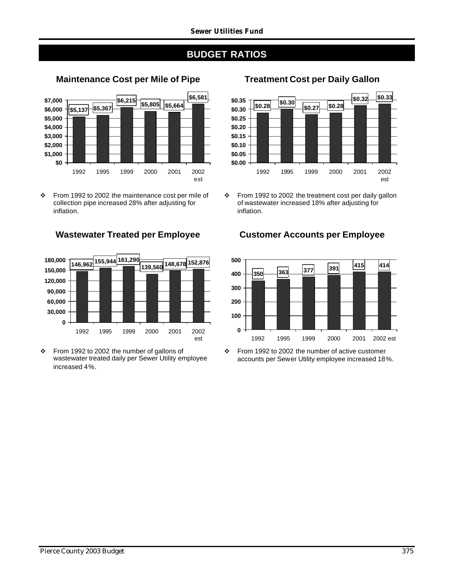# **BUDGET RATIOS**



 $\div$  From 1992 to 2002 the maintenance cost per mile of collection pipe increased 28% after adjusting for inflation.



v From 1992 to 2002 the number of gallons of wastewater treated daily per Sewer Utility employee increased 4%.

# **Maintenance Cost per Mile of Pipe Treatment Cost per Daily Gallon**



 $\div$  From 1992 to 2002 the treatment cost per daily gallon of wastewater increased 18% after adjusting for inflation.

## **Wastewater Treated per Employee Customer Accounts per Employee**



 $\div$  From 1992 to 2002 the number of active customer accounts per Sewer Utility employee increased 18%.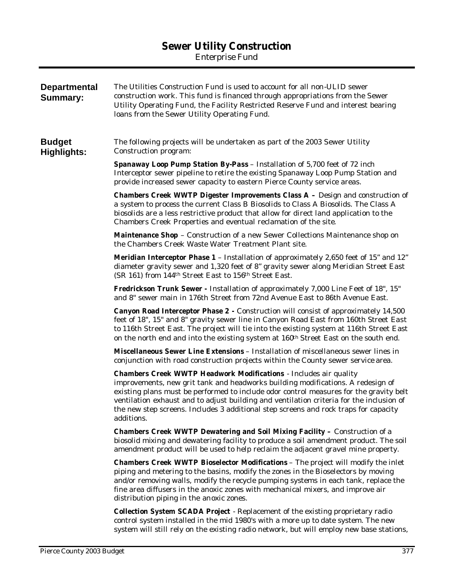# **Sewer Utility Construction**

*Enterprise Fund*

| <b>Departmental</b><br><b>Summary:</b> | The Utilities Construction Fund is used to account for all non-ULID sewer<br>construction work. This fund is financed through appropriations from the Sewer<br>Utility Operating Fund, the Facility Restricted Reserve Fund and interest bearing<br>loans from the Sewer Utility Operating Fund.                                                                                                                                                        |
|----------------------------------------|---------------------------------------------------------------------------------------------------------------------------------------------------------------------------------------------------------------------------------------------------------------------------------------------------------------------------------------------------------------------------------------------------------------------------------------------------------|
| <b>Budget</b><br><b>Highlights:</b>    | The following projects will be undertaken as part of the 2003 Sewer Utility<br>Construction program:                                                                                                                                                                                                                                                                                                                                                    |
|                                        | Spanaway Loop Pump Station By-Pass - Installation of 5,700 feet of 72 inch<br>Interceptor sewer pipeline to retire the existing Spanaway Loop Pump Station and<br>provide increased sewer capacity to eastern Pierce County service areas.                                                                                                                                                                                                              |
|                                        | <b>Chambers Creek WWTP Digester Improvements Class <math>A -</math></b> Design and construction of<br>a system to process the current Class B Biosolids to Class A Biosolids. The Class A<br>biosolids are a less restrictive product that allow for direct land application to the<br>Chambers Creek Properties and eventual reclamation of the site.                                                                                                  |
|                                        | <b>Maintenance Shop</b> - Construction of a new Sewer Collections Maintenance shop on<br>the Chambers Creek Waste Water Treatment Plant site.                                                                                                                                                                                                                                                                                                           |
|                                        | <b>Meridian Interceptor Phase 1</b> - Installation of approximately 2,650 feet of 15" and 12"<br>diameter gravity sewer and 1,320 feet of 8" gravity sewer along Meridian Street East<br>(SR 161) from 144 <sup>th</sup> Street East to 156 <sup>th</sup> Street East.                                                                                                                                                                                  |
|                                        | <b>Fredrickson Trunk Sewer</b> - Installation of approximately 7,000 Line Feet of 18", 15"<br>and 8" sewer main in 176th Street from 72nd Avenue East to 86th Avenue East.                                                                                                                                                                                                                                                                              |
|                                        | <b>Canyon Road Interceptor Phase 2</b> - Construction will consist of approximately 14,500<br>feet of 18", 15" and 8" gravity sewer line in Canyon Road East from 160th Street East<br>to 116th Street East. The project will tie into the existing system at 116th Street East<br>on the north end and into the existing system at 160 <sup>th</sup> Street East on the south end.                                                                     |
|                                        | <b>Miscellaneous Sewer Line Extensions - Installation of miscellaneous sewer lines in</b><br>conjunction with road construction projects within the County sewer service area.                                                                                                                                                                                                                                                                          |
|                                        | <b>Chambers Creek WWTP Headwork Modifications</b> - Includes air quality<br>improvements, new grit tank and headworks building modifications. A redesign of<br>existing plans must be performed to include odor control measures for the gravity belt<br>ventilation exhaust and to adjust building and ventilation criteria for the inclusion of<br>the new step screens. Includes 3 additional step screens and rock traps for capacity<br>additions. |
|                                        | <b>Chambers Creek WWTP Dewatering and Soil Mixing Facility - Construction of a</b><br>biosolid mixing and dewatering facility to produce a soil amendment product. The soil<br>amendment product will be used to help reclaim the adjacent gravel mine property.                                                                                                                                                                                        |
|                                        | <b>Chambers Creek WWTP Bioselector Modifications</b> - The project will modify the inlet<br>piping and metering to the basins, modify the zones in the Bioselectors by moving<br>and/or removing walls, modify the recycle pumping systems in each tank, replace the<br>fine area diffusers in the anoxic zones with mechanical mixers, and improve air<br>distribution piping in the anoxic zones.                                                     |
|                                        | <b>Collection System SCADA Project</b> - Replacement of the existing proprietary radio<br>control system installed in the mid 1980's with a more up to date system. The new<br>system will still rely on the existing radio network, but will employ new base stations,                                                                                                                                                                                 |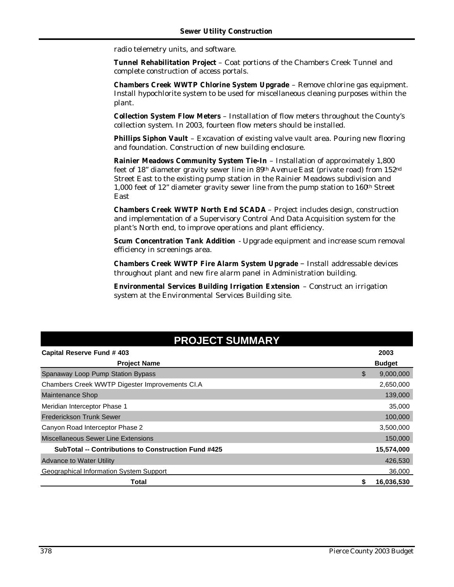radio telemetry units, and software.

**Tunnel Rehabilitation Project** – Coat portions of the Chambers Creek Tunnel and complete construction of access portals.

**Chambers Creek WWTP Chlorine System Upgrade** – Remove chlorine gas equipment. Install hypochlorite system to be used for miscellaneous cleaning purposes within the plant.

**Collection System Flow Meters** – Installation of flow meters throughout the County's collection system. In 2003, fourteen flow meters should be installed.

**Phillips Siphon Vault** – Excavation of existing valve vault area. Pouring new flooring and foundation. Construction of new building enclosure.

**Rainier Meadows Community System Tie-In** – Installation of approximately 1,800 feet of 18" diameter gravity sewer line in 89th Avenue East (private road) from 152nd Street East to the existing pump station in the Rainier Meadows subdivision and 1,000 feet of 12" diameter gravity sewer line from the pump station to 160th Street East

**Chambers Creek WWTP North End SCADA** – Project includes design, construction and implementation of a Supervisory Control And Data Acquisition system for the plant's North end, to improve operations and plant efficiency.

**Scum Concentration Tank Addition** - Upgrade equipment and increase scum removal efficiency in screenings area.

**Chambers Creek WWTP Fire Alarm System Upgrade** – Install addressable devices throughout plant and new fire alarm panel in Administration building.

**Environmental Services Building Irrigation Extension** – Construct an irrigation system at the Environmental Services Building site.

| <b>PROJECT SUMMARY</b>                                     |    |               |  |  |  |
|------------------------------------------------------------|----|---------------|--|--|--|
| Capital Reserve Fund # 403                                 |    | 2003          |  |  |  |
| <b>Project Name</b>                                        |    | <b>Budget</b> |  |  |  |
| Spanaway Loop Pump Station Bypass                          | \$ | 9,000,000     |  |  |  |
| Chambers Creek WWTP Digester Improvements CI.A             |    | 2,650,000     |  |  |  |
| <b>Maintenance Shop</b>                                    |    | 139,000       |  |  |  |
| Meridian Interceptor Phase 1                               |    | 35,000        |  |  |  |
| <b>Frederickson Trunk Sewer</b>                            |    | 100,000       |  |  |  |
| Canyon Road Interceptor Phase 2                            |    | 3,500,000     |  |  |  |
| <b>Miscellaneous Sewer Line Extensions</b>                 |    | 150,000       |  |  |  |
| <b>SubTotal -- Contributions to Construction Fund #425</b> |    | 15,574,000    |  |  |  |
| <b>Advance to Water Utility</b>                            |    | 426,530       |  |  |  |
| Geographical Information System Support                    |    | 36,000        |  |  |  |
| Total                                                      |    | 16,036,530    |  |  |  |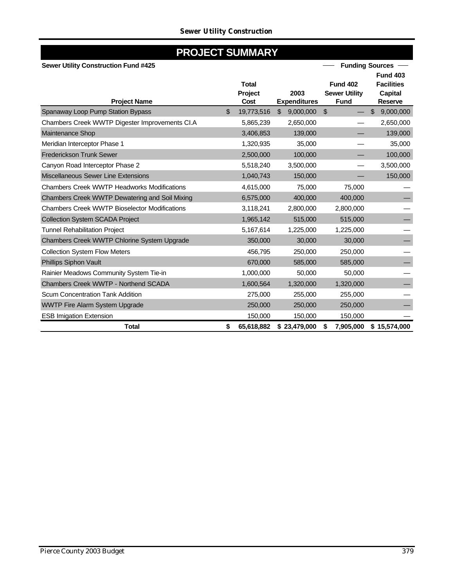# **PROJECT SUMMARY**

## **Sewer Utility Construction Fund #425**

| <b>Sewer Utility Construction Fund #425</b>          |    |                 |                | <b>Funding Sources</b>      |                                     |                                  |
|------------------------------------------------------|----|-----------------|----------------|-----------------------------|-------------------------------------|----------------------------------|
|                                                      |    |                 |                |                             |                                     | <b>Fund 403</b>                  |
|                                                      |    | <b>Total</b>    |                |                             | <b>Fund 402</b>                     | <b>Facilities</b>                |
| <b>Project Name</b>                                  |    | Project<br>Cost |                | 2003<br><b>Expenditures</b> | <b>Sewer Utility</b><br><b>Fund</b> | <b>Capital</b><br><b>Reserve</b> |
| Spanaway Loop Pump Station Bypass                    | \$ | 19,773,516      | $\mathfrak{L}$ | 9,000,000                   | \$                                  | \$<br>9,000,000                  |
| Chambers Creek WWTP Digester Improvements CI.A       |    | 5,865,239       |                | 2,650,000                   |                                     | 2,650,000                        |
| <b>Maintenance Shop</b>                              |    | 3,406,853       |                | 139,000                     |                                     | 139,000                          |
| Meridian Interceptor Phase 1                         |    | 1,320,935       |                | 35,000                      |                                     | 35,000                           |
| <b>Frederickson Trunk Sewer</b>                      |    | 2,500,000       |                | 100,000                     |                                     | 100,000                          |
| Canyon Road Interceptor Phase 2                      |    | 5,518,240       |                | 3,500,000                   |                                     | 3,500,000                        |
| Miscellaneous Sewer Line Extensions                  |    | 1,040,743       |                | 150,000                     |                                     | 150,000                          |
| <b>Chambers Creek WWTP Headworks Modifications</b>   |    | 4,615,000       |                | 75,000                      | 75,000                              |                                  |
| Chambers Creek WWTP Dewatering and Soil Mixing       |    | 6,575,000       |                | 400,000                     | 400,000                             |                                  |
| <b>Chambers Creek WWTP Bioselector Modifications</b> |    | 3,118,241       |                | 2,800,000                   | 2,800,000                           |                                  |
| <b>Collection System SCADA Project</b>               |    | 1,965,142       |                | 515,000                     | 515,000                             |                                  |
| <b>Tunnel Rehabilitation Project</b>                 |    | 5,167,614       |                | 1,225,000                   | 1,225,000                           |                                  |
| Chambers Creek WWTP Chlorine System Upgrade          |    | 350,000         |                | 30,000                      | 30,000                              |                                  |
| <b>Collection System Flow Meters</b>                 |    | 456,795         |                | 250,000                     | 250,000                             |                                  |
| Phillips Siphon Vault                                |    | 670,000         |                | 585,000                     | 585,000                             |                                  |
| Rainier Meadows Community System Tie-in              |    | 1,000,000       |                | 50,000                      | 50,000                              |                                  |
| Chambers Creek WWTP - Northend SCADA                 |    | 1,600,564       |                | 1,320,000                   | 1,320,000                           |                                  |
| Scum Concentration Tank Addition                     |    | 275,000         |                | 255,000                     | 255,000                             |                                  |
| <b>WWTP Fire Alarm System Upgrade</b>                |    | 250,000         |                | 250,000                     | 250,000                             |                                  |
| <b>ESB Imigation Extension</b>                       |    | 150,000         |                | 150,000                     | 150,000                             |                                  |
| <b>Total</b>                                         | \$ | 65,618,882      |                | \$23,479,000                | \$<br>7,905,000                     | \$15,574,000                     |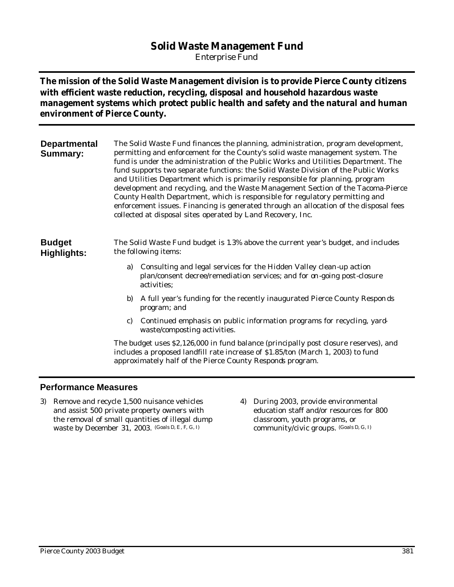# **Solid Waste Management Fund**

*Enterprise Fund*

**The mission of the Solid Waste Management division is to provide Pierce County citizens with efficient waste reduction, recycling, disposal and household hazardous waste management systems which protect public health and safety and the natural and human environment of Pierce County.**

| <b>Departmental</b><br><b>Summary:</b> | The Solid Waste Fund finances the planning, administration, program development,<br>permitting and enforcement for the County's solid waste management system. The<br>fund is under the administration of the Public Works and Utilities Department. The<br>fund supports two separate functions: the Solid Waste Division of the Public Works<br>and Utilities Department which is primarily responsible for planning, program<br>development and recycling, and the Waste Management Section of the Tacoma-Pierce<br>County Health Department, which is responsible for regulatory permitting and<br>enforcement issues. Financing is generated through an allocation of the disposal fees<br>collected at disposal sites operated by Land Recovery, Inc. |                                                                                                                                                               |  |  |  |  |  |
|----------------------------------------|-------------------------------------------------------------------------------------------------------------------------------------------------------------------------------------------------------------------------------------------------------------------------------------------------------------------------------------------------------------------------------------------------------------------------------------------------------------------------------------------------------------------------------------------------------------------------------------------------------------------------------------------------------------------------------------------------------------------------------------------------------------|---------------------------------------------------------------------------------------------------------------------------------------------------------------|--|--|--|--|--|
| <b>Budget</b><br><b>Highlights:</b>    | The Solid Waste Fund budget is 1.3% above the current year's budget, and includes<br>the following items:                                                                                                                                                                                                                                                                                                                                                                                                                                                                                                                                                                                                                                                   |                                                                                                                                                               |  |  |  |  |  |
|                                        | a)                                                                                                                                                                                                                                                                                                                                                                                                                                                                                                                                                                                                                                                                                                                                                          | Consulting and legal services for the Hidden Valley clean-up action<br>plan/consent decree/remediation services; and for on-going post-closure<br>activities: |  |  |  |  |  |
|                                        | b)                                                                                                                                                                                                                                                                                                                                                                                                                                                                                                                                                                                                                                                                                                                                                          | A full year's funding for the recently inaugurated Pierce County Responds<br>program; and                                                                     |  |  |  |  |  |
|                                        | C)                                                                                                                                                                                                                                                                                                                                                                                                                                                                                                                                                                                                                                                                                                                                                          | Continued emphasis on public information programs for recycling, yard-<br>waste/composting activities.                                                        |  |  |  |  |  |

The budget uses \$2,126,000 in fund balance (principally post closure reserves), and includes a proposed landfill rate increase of \$1.85/ton (March 1, 2003) to fund approximately half of the Pierce County Responds program.

## **Performance Measures**

- 3) Remove and recycle 1,500 nuisance vehicles and assist 500 private property owners with the removal of small quantities of illegal dump waste by December 31, 2003. (Goals D, E, F, G, I)
- 4) During 2003, provide environmental education staff and/or resources for 800 classroom, youth programs, or community/civic groups. (Goals D, G, I)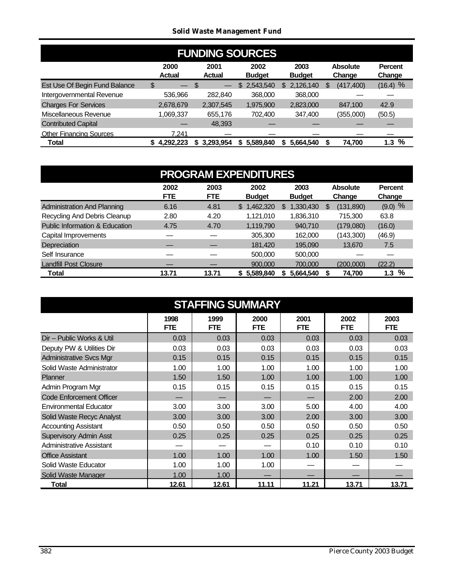## *Solid Waste Management Fund*

| <b>FUNDING SOURCES</b>         |                                     |                       |                       |                       |                           |                   |  |  |  |  |  |
|--------------------------------|-------------------------------------|-----------------------|-----------------------|-----------------------|---------------------------|-------------------|--|--|--|--|--|
|                                | 2000<br><b>Actual</b>               | 2001<br><b>Actual</b> | 2002<br><b>Budget</b> | 2003<br><b>Budget</b> | <b>Absolute</b><br>Change | Percent<br>Change |  |  |  |  |  |
| Est Use Of Begin Fund Balance  | \$<br>$\overbrace{\phantom{aaaaa}}$ | S                     | \$2,543,540           | 2,126,140<br>S        | (417, 400)                | $(16.4)$ %        |  |  |  |  |  |
| Intergovernmental Revenue      | 536,966                             | 282,840               | 368,000               | 368,000               |                           |                   |  |  |  |  |  |
| <b>Charges For Services</b>    | 2,678,679                           | 2,307,545             | 1,975,900             | 2,823,000             | 847.100                   | 42.9              |  |  |  |  |  |
| Miscellaneous Revenue          | 1,069,337                           | 655,176               | 702.400               | 347,400               | (355,000)                 | (50.5)            |  |  |  |  |  |
| <b>Contributed Capital</b>     |                                     | 48,393                |                       |                       |                           |                   |  |  |  |  |  |
| <b>Other Financing Sources</b> | 7.241                               |                       |                       |                       |                           |                   |  |  |  |  |  |
| <b>Total</b>                   | 4,292,223                           | \$3,293,954           | 5,589,840<br>S.       | 5.664.540             | 74,700                    | $1.3\%$           |  |  |  |  |  |

| <b>PROGRAM EXPENDITURES</b>        |                    |                    |                       |                       |                           |                          |  |  |  |  |
|------------------------------------|--------------------|--------------------|-----------------------|-----------------------|---------------------------|--------------------------|--|--|--|--|
|                                    | 2002<br><b>FTE</b> | 2003<br><b>FTE</b> | 2002<br><b>Budget</b> | 2003<br><b>Budget</b> | <b>Absolute</b><br>Change | <b>Percent</b><br>Change |  |  |  |  |
| <b>Administration And Planning</b> | 6.16               | 4.81               | \$1,462,320           | 1,330,430<br>\$.      | (131, 890)<br>S           | $(9.0)$ %                |  |  |  |  |
| Recycling And Debris Cleanup       | 2.80               | 4.20               | 1,121,010             | 1,836,310             | 715,300                   | 63.8                     |  |  |  |  |
| Public Information & Education     | 4.75               | 4.70               | 1.119.790             | 940,710               | (179,080)                 | (16.0)                   |  |  |  |  |
| Capital Improvements               |                    |                    | 305,300               | 162,000               | (143,300)                 | (46.9)                   |  |  |  |  |
| Depreciation                       |                    |                    | 181,420               | 195,090               | 13.670                    | 7.5                      |  |  |  |  |
| Self Insurance                     |                    |                    | 500,000               | 500,000               |                           |                          |  |  |  |  |
| <b>Landfill Post Closure</b>       |                    |                    | 900,000               | 700.000               | (200,000)                 | (22.2)                   |  |  |  |  |
| Total                              | 13.71              | 13.71              | \$5,589,840           | 5,664,540             | 74,700                    | %<br>1.3                 |  |  |  |  |

| <b>STAFFING SUMMARY</b>         |                    |             |                    |                    |                    |                    |  |  |  |  |  |
|---------------------------------|--------------------|-------------|--------------------|--------------------|--------------------|--------------------|--|--|--|--|--|
|                                 | 1998<br><b>FTE</b> | 1999<br>FTE | 2000<br><b>FTE</b> | 2001<br><b>FTE</b> | 2002<br><b>FTE</b> | 2003<br><b>FTE</b> |  |  |  |  |  |
| Dir - Public Works & Util       | 0.03               | 0.03        | 0.03               | 0.03               | 0.03               | 0.03               |  |  |  |  |  |
| Deputy PW & Utilities Dir       | 0.03               | 0.03        | 0.03               | 0.03               | 0.03               | 0.03               |  |  |  |  |  |
| <b>Administrative Svcs Mgr</b>  | 0.15               | 0.15        | 0.15               | 0.15               | 0.15               | 0.15               |  |  |  |  |  |
| Solid Waste Administrator       | 1.00               | 1.00        | 1.00               | 1.00               | 1.00               | 1.00               |  |  |  |  |  |
| Planner                         | 1.50               | 1.50        | 1.00               | 1.00               | 1.00               | 1.00               |  |  |  |  |  |
| Admin Program Mgr               | 0.15               | 0.15        | 0.15               | 0.15               | 0.15               | 0.15               |  |  |  |  |  |
| <b>Code Enforcement Officer</b> |                    |             |                    |                    | 2.00               | 2.00               |  |  |  |  |  |
| <b>Environmental Educator</b>   | 3.00               | 3.00        | 3.00               | 5.00               | 4.00               | 4.00               |  |  |  |  |  |
| Solid Waste Recyc Analyst       | 3.00               | 3.00        | 3.00               | 2.00               | 3.00               | 3.00               |  |  |  |  |  |
| <b>Accounting Assistant</b>     | 0.50               | 0.50        | 0.50               | 0.50               | 0.50               | 0.50               |  |  |  |  |  |
| <b>Supervisory Admin Asst</b>   | 0.25               | 0.25        | 0.25               | 0.25               | 0.25               | 0.25               |  |  |  |  |  |
| <b>Administrative Assistant</b> |                    |             |                    | 0.10               | 0.10               | 0.10               |  |  |  |  |  |
| <b>Office Assistant</b>         | 1.00               | 1.00        | 1.00               | 1.00               | 1.50               | 1.50               |  |  |  |  |  |
| Solid Waste Educator            | 1.00               | 1.00        | 1.00               |                    |                    |                    |  |  |  |  |  |
| Solid Waste Manager             | 1.00               | 1.00        |                    |                    |                    |                    |  |  |  |  |  |
| Total                           | 12.61              | 12.61       | 11.11              | 11.21              | 13.71              | 13.71              |  |  |  |  |  |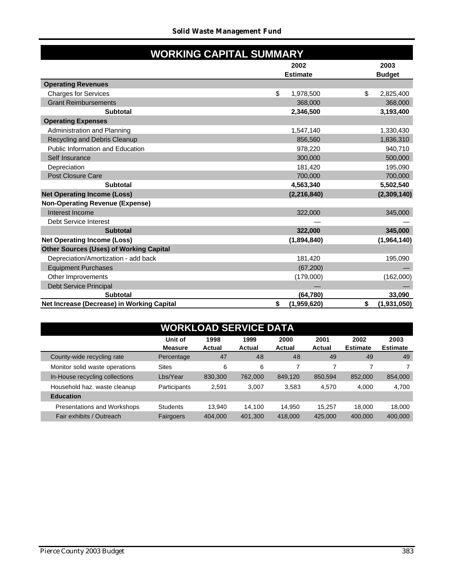|                                                | <b>WORKING CAPITAL SUMMARY</b> |                   |
|------------------------------------------------|--------------------------------|-------------------|
|                                                | 2002                           | 2003              |
|                                                | <b>Estimate</b>                | <b>Budget</b>     |
| <b>Operating Revenues</b>                      |                                |                   |
| <b>Charges for Services</b>                    | \$<br>1,978,500                | \$<br>2,825,400   |
| <b>Grant Reimbursements</b>                    | 368,000                        | 368,000           |
| <b>Subtotal</b>                                | 2,346,500                      | 3,193,400         |
| <b>Operating Expenses</b>                      |                                |                   |
| Administration and Planning                    | 1,547,140                      | 1,330,430         |
| Recycling and Debris Cleanup                   | 856,560                        | 1,836,310         |
| <b>Public Information and Education</b>        | 978,220                        | 940,710           |
| Self Insurance                                 | 300,000                        | 500,000           |
| Depreciation                                   | 181,420                        | 195,090           |
| Post Closure Care                              | 700,000                        | 700,000           |
| <b>Subtotal</b>                                | 4,563,340                      | 5,502,540         |
| <b>Net Operating Income (Loss)</b>             | (2, 216, 840)                  | (2,309,140)       |
| <b>Non-Operating Revenue (Expense)</b>         |                                |                   |
| Interest Income                                | 322,000                        | 345,000           |
| <b>Debt Service Interest</b>                   |                                |                   |
| <b>Subtotal</b>                                | 322,000                        | 345,000           |
| <b>Net Operating Income (Loss)</b>             | (1,894,840)                    | (1,964,140)       |
| <b>Other Sources (Uses) of Working Capital</b> |                                |                   |
| Depreciation/Amortization - add back           | 181,420                        | 195,090           |
| <b>Equipment Purchases</b>                     | (67, 200)                      |                   |
| Other Improvements                             | (179,000)                      | (162,000)         |
| <b>Debt Service Principal</b>                  |                                |                   |
| <b>Subtotal</b>                                | (64, 780)                      | 33,090            |
| Net Increase (Decrease) in Working Capital     | \$<br>(1,959,620)              | \$<br>(1,931,050) |

| <b>WORKLOAD SERVICE DATA</b>       |                           |                       |                |                |                       |                         |                         |  |  |  |  |
|------------------------------------|---------------------------|-----------------------|----------------|----------------|-----------------------|-------------------------|-------------------------|--|--|--|--|
|                                    | Unit of<br><b>Measure</b> | 1998<br><b>Actual</b> | 1999<br>Actual | 2000<br>Actual | 2001<br><b>Actual</b> | 2002<br><b>Estimate</b> | 2003<br><b>Estimate</b> |  |  |  |  |
| County-wide recycling rate         | Percentage                | 47                    | 48             | 48             | 49                    | 49                      | 49                      |  |  |  |  |
| Monitor solid waste operations     | <b>Sites</b>              | 6                     | 6              | 7              |                       | 7                       |                         |  |  |  |  |
| In-House recycling collections     | Lbs/Year                  | 830,300               | 762,000        | 849,120        | 850.594               | 852,000                 | 854,000                 |  |  |  |  |
| Household haz. waste cleanup       | Participants              | 2.591                 | 3,007          | 3,583          | 4,570                 | 4,000                   | 4,700                   |  |  |  |  |
| <b>Education</b>                   |                           |                       |                |                |                       |                         |                         |  |  |  |  |
| <b>Presentations and Workshops</b> | <b>Students</b>           | 13.940                | 14.100         | 14.950         | 15.257                | 18.000                  | 18,000                  |  |  |  |  |
| Fair exhibits / Outreach           | Fairgoers                 | 404.000               | 401,300        | 418,000        | 425,000               | 400,000                 | 400,000                 |  |  |  |  |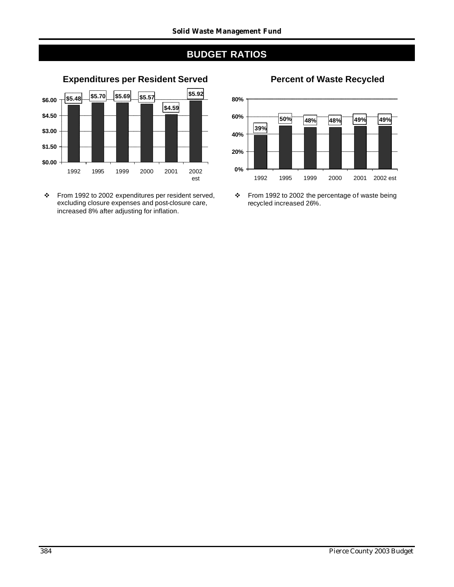# **BUDGET RATIOS**



\* From 1992 to 2002 expenditures per resident served, excluding closure expenses and post-closure care, increased 8% after adjusting for inflation.



 $\div$  From 1992 to 2002 the percentage of waste being recycled increased 26%.